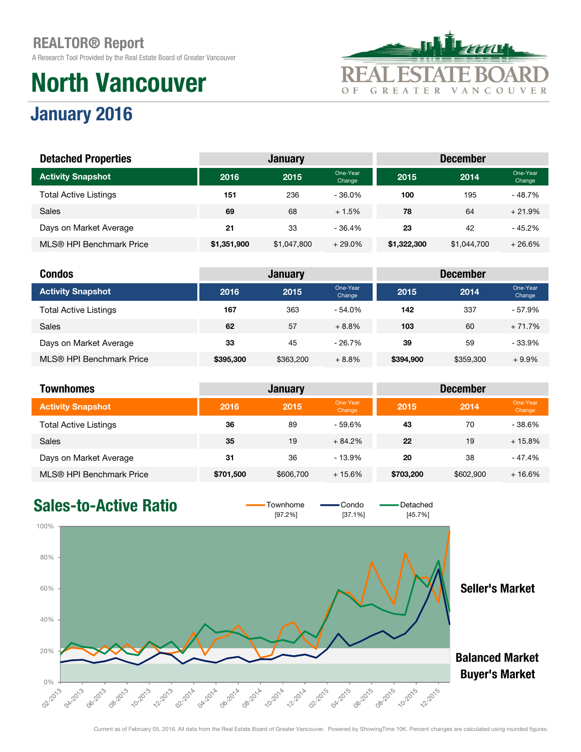January 2016

A Research Tool Provided by the Real Estate Board of Greater Vancouver

# North Vancouver



#### **2016 2015** One-Year  $\frac{20 \text{h}}{\text{Change}}$  2015 2014 <sup>One-Year</sup> Change Total Active Listings 151 151 236 - 36.0% 100 195 - 48.7% Sales 69 69 68 + 1.5% 78 64 + 21.9% Days on Market Average 21 21 33 - 36.4% 23 42 - 45.2% MLS® HPI Benchmark Price \$1,351,900 \$1,047,800 + 29.0% \$1,322,300 \$1,044,700 + 26.6% Activity Snapshot Detached Properties **December** January December

| <b>Condos</b>                |           | <b>January</b> |                    | <b>December</b> |           |                    |  |  |
|------------------------------|-----------|----------------|--------------------|-----------------|-----------|--------------------|--|--|
| <b>Activity Snapshot</b>     | 2016      | 2015           | One-Year<br>Change | 2015            | 2014      | One-Year<br>Change |  |  |
| <b>Total Active Listings</b> | 167       | 363            | $-54.0%$           | 142             | 337       | $-57.9%$           |  |  |
| <b>Sales</b>                 | 62        | 57             | $+8.8%$            | 103             | 60        | $+71.7%$           |  |  |
| Days on Market Average       | 33        | 45             | $-26.7\%$          | 39              | 59        | $-33.9%$           |  |  |
| MLS® HPI Benchmark Price     | \$395,300 | \$363,200      | $+8.8%$            | \$394,900       | \$359,300 | $+9.9%$            |  |  |

| Townhomes                    |           | <b>January</b> |                    | <b>December</b> |           |                    |  |
|------------------------------|-----------|----------------|--------------------|-----------------|-----------|--------------------|--|
| <b>Activity Snapshot</b>     | 2016      | 2015           | One-Year<br>Change | 2015            | 2014      | One-Year<br>Change |  |
| <b>Total Active Listings</b> | 36        | 89             | $-59.6%$           | 43              | 70        | $-38.6%$           |  |
| <b>Sales</b>                 | 35        | 19             | $+84.2%$           | 22              | 19        | $+15.8%$           |  |
| Days on Market Average       | 31        | 36             | $-13.9%$           | 20              | 38        | $-47.4%$           |  |
| MLS® HPI Benchmark Price     | \$701,500 | \$606,700      | $+15.6%$           | \$703,200       | \$602,900 | $+16.6%$           |  |

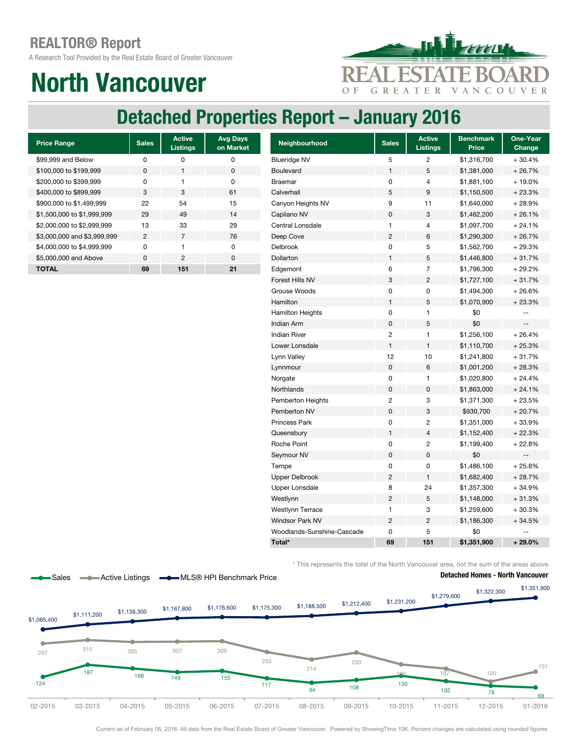A Research Tool Provided by the Real Estate Board of Greater Vancouver

# North Vancouver



## Detached Properties Report – January 2016

| <b>Price Range</b>          | <b>Sales</b> | <b>Active</b><br><b>Listings</b> | <b>Avg Days</b><br>on Market |
|-----------------------------|--------------|----------------------------------|------------------------------|
| \$99,999 and Below          | O            | ŋ                                | ŋ                            |
| \$100,000 to \$199,999      | <sup>0</sup> | 1                                | 0                            |
| \$200,000 to \$399,999      | O            | 1                                | O                            |
| \$400,000 to \$899,999      | 3            | 3                                | 61                           |
| \$900,000 to \$1,499,999    | 22           | 54                               | 15                           |
| \$1,500,000 to \$1,999,999  | 29           | 49                               | 14                           |
| \$2,000,000 to \$2,999,999  | 13           | 33                               | 29                           |
| \$3,000,000 and \$3,999,999 | 2            | $\overline{7}$                   | 76                           |
| \$4,000,000 to \$4,999,999  | U            | 1                                | O                            |
| \$5,000,000 and Above       | $\Omega$     | 2                                | $\Omega$                     |
| <b>TOTAL</b>                | 69           | 151                              | 21                           |

| <b>Price Range</b>          | <b>Sales</b>   | <b>Active</b><br><b>Listings</b> | <b>Avg Days</b><br>on Market | Neighbourhood              | <b>Sales</b>            | <b>Active</b><br><b>Listings</b> | <b>Benchmark</b><br>Price | One-Year<br>Change       |
|-----------------------------|----------------|----------------------------------|------------------------------|----------------------------|-------------------------|----------------------------------|---------------------------|--------------------------|
| \$99,999 and Below          | $\mathbf 0$    | $\pmb{0}$                        | 0                            | <b>Blueridge NV</b>        | 5                       | 2                                | \$1,316,700               | $+30.4%$                 |
| \$100,000 to \$199,999      | 0              | $\mathbf{1}$                     | $\pmb{0}$                    | <b>Boulevard</b>           | 1                       | 5                                | \$1,381,000               | $+26.7%$                 |
| \$200,000 to \$399,999      | $\pmb{0}$      | $\mathbf{1}$                     | 0                            | <b>Braemar</b>             | 0                       | 4                                | \$1,881,100               | + 19.0%                  |
| \$400,000 to \$899,999      | $\mathbf 3$    | $\ensuremath{\mathsf{3}}$        | 61                           | Calverhall                 | 5                       | 9                                | \$1,150,500               | $+23.3%$                 |
| \$900,000 to \$1,499,999    | 22             | 54                               | 15                           | Canyon Heights NV          | 9                       | 11                               | \$1,640,000               | $+28.9%$                 |
| \$1,500,000 to \$1,999,999  | 29             | 49                               | 14                           | Capilano NV                | 0                       | 3                                | \$1,462,200               | $+26.1%$                 |
| \$2,000,000 to \$2,999,999  | 13             | 33                               | 29                           | Central Lonsdale           | 1                       | 4                                | \$1,097,700               | $+24.1%$                 |
| \$3,000,000 and \$3,999,999 | $\overline{c}$ | $\overline{7}$                   | 76                           | Deep Cove                  | $\overline{c}$          | 6                                | \$1,290,300               | $+26.7%$                 |
| \$4,000,000 to \$4,999,999  | $\pmb{0}$      | $\mathbf{1}$                     | $\pmb{0}$                    | Delbrook                   | $\mathbf 0$             | 5                                | \$1,562,700               | $+29.3%$                 |
| \$5,000,000 and Above       | $\pmb{0}$      | $\overline{c}$                   | $\pmb{0}$                    | Dollarton                  | $\mathbf{1}$            | 5                                | \$1,446,800               | $+31.7%$                 |
| <b>TOTAL</b>                | 69             | 151                              | 21                           | Edgemont                   | 6                       | $\overline{7}$                   | \$1,796,300               | $+29.2%$                 |
|                             |                |                                  |                              | Forest Hills NV            | 3                       | $\overline{c}$                   | \$1,727,100               | $+31.7%$                 |
|                             |                |                                  |                              | Grouse Woods               | $\mathbf 0$             | 0                                | \$1,494,300               | $+26.6%$                 |
|                             |                |                                  |                              | Hamilton                   | $\mathbf{1}$            | 5                                | \$1,070,900               | $+23.3%$                 |
|                             |                |                                  |                              | <b>Hamilton Heights</b>    | 0                       | 1                                | \$0                       | --                       |
|                             |                |                                  |                              | Indian Arm                 | $\mathbf 0$             | 5                                | \$0                       | $\overline{\phantom{a}}$ |
|                             |                |                                  |                              | <b>Indian River</b>        | $\sqrt{2}$              | 1                                | \$1,256,100               | $+26.4%$                 |
|                             |                |                                  |                              | Lower Lonsdale             | $\mathbf{1}$            | $\mathbf{1}$                     | \$1,110,700               | $+25.3%$                 |
|                             |                |                                  |                              | Lynn Valley                | 12                      | 10                               | \$1,241,800               | $+31.7%$                 |
|                             |                |                                  |                              | Lynnmour                   | $\pmb{0}$               | 6                                | \$1,001,200               | $+28.3%$                 |
|                             |                |                                  |                              | Norgate                    | 0                       | 1                                | \$1,020,800               | $+24.4%$                 |
|                             |                |                                  |                              | Northlands                 | $\pmb{0}$               | 0                                | \$1,863,000               | $+24.1%$                 |
|                             |                |                                  |                              | Pemberton Heights          | $\overline{\mathbf{c}}$ | 3                                | \$1,371,300               | $+23.5%$                 |
|                             |                |                                  |                              | Pemberton NV               | $\pmb{0}$               | 3                                | \$930,700                 | $+20.7%$                 |
|                             |                |                                  |                              | <b>Princess Park</b>       | 0                       | $\overline{c}$                   | \$1,351,000               | $+33.9%$                 |
|                             |                |                                  |                              | Queensbury                 | 1                       | 4                                | \$1,152,400               | $+22.3%$                 |
|                             |                |                                  |                              | Roche Point                | 0                       | 2                                | \$1,199,400               | $+22.8%$                 |
|                             |                |                                  |                              | Seymour NV                 | $\mathbf 0$             | 0                                | \$0                       |                          |
|                             |                |                                  |                              | Tempe                      | 0                       | 0                                | \$1,486,100               | $+25.8%$                 |
|                             |                |                                  |                              | <b>Upper Delbrook</b>      | $\overline{2}$          | 1                                | \$1,682,400               | $+28.7%$                 |
|                             |                |                                  |                              | <b>Upper Lonsdale</b>      | 8                       | 24                               | \$1,357,300               | $+34.9%$                 |
|                             |                |                                  |                              | Westlynn                   | $\overline{c}$          | 5                                | \$1,148,000               | $+31.3%$                 |
|                             |                |                                  |                              | <b>Westlynn Terrace</b>    | 1                       | 3                                | \$1,259,600               | $+30.3%$                 |
|                             |                |                                  |                              | <b>Windsor Park NV</b>     | $\overline{c}$          | $\overline{\mathbf{c}}$          | \$1,186,300               | $+34.5%$                 |
|                             |                |                                  |                              | Woodlands-Sunshine-Cascade | 0                       | 5                                | \$0                       |                          |
|                             |                |                                  |                              | Total*                     | 69                      | 151                              | \$1,351,900               | $+29.0%$                 |

\* This represents the total of the North Vancouver area, not the sum of the areas above.



Current as of February 05, 2016. All data from the Real Estate Board of Greater Vancouver. Powered by ShowingTime 10K. Percent changes are calculated using rounded figures.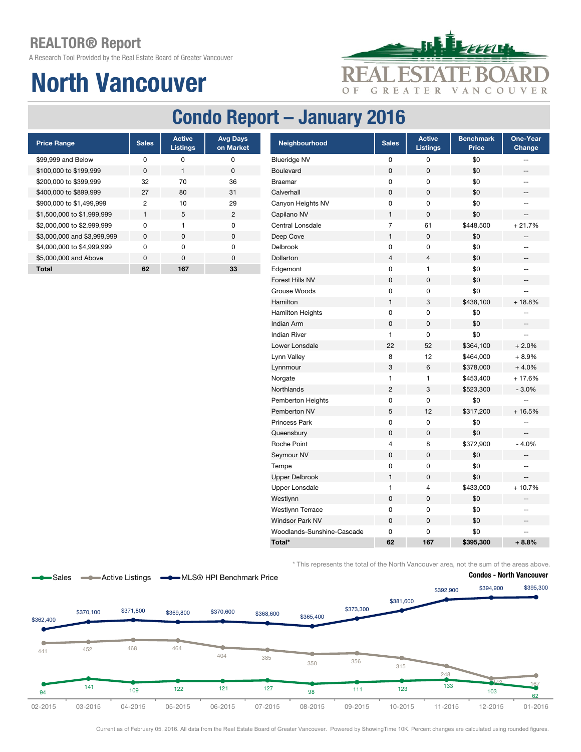A Research Tool Provided by the Real Estate Board of Greater Vancouver

# North Vancouver



## Condo Report – January 2016

| <b>Price Range</b>          | <b>Sales</b> | <b>Active</b><br><b>Listings</b> | <b>Avg Days</b><br>on Market |
|-----------------------------|--------------|----------------------------------|------------------------------|
| \$99,999 and Below          | O            | ŋ                                | ŋ                            |
| \$100,000 to \$199,999      | <sup>0</sup> | 1                                | 0                            |
| \$200,000 to \$399,999      | 32           | 70                               | 36                           |
| \$400,000 to \$899,999      | 27           | 80                               | 31                           |
| \$900,000 to \$1,499,999    | 2            | 10                               | 29                           |
| \$1,500,000 to \$1,999,999  | 1            | 5                                | $\mathfrak{p}$               |
| \$2,000,000 to \$2,999,999  | U            | 1                                | ŋ                            |
| \$3,000,000 and \$3,999,999 | <sup>0</sup> | <sup>0</sup>                     | ŋ                            |
| \$4,000,000 to \$4,999,999  | U            | U                                | ŋ                            |
| \$5,000,000 and Above       | U            | <sup>n</sup>                     | ŋ                            |
| Total                       | 62           | 167                              | 33                           |

| <b>Price Range</b>          | <b>Sales</b>   | <b>Active</b><br><b>Listings</b> | <b>Avg Days</b><br>on Market | Neighbourhood              | <b>Sales</b>   | <b>Active</b><br><b>Listings</b> | <b>Benchmark</b><br><b>Price</b> | One-Year<br>Change       |
|-----------------------------|----------------|----------------------------------|------------------------------|----------------------------|----------------|----------------------------------|----------------------------------|--------------------------|
| \$99,999 and Below          | 0              | 0                                | 0                            | <b>Blueridge NV</b>        | 0              | 0                                | \$0                              | --                       |
| \$100,000 to \$199,999      | $\pmb{0}$      | $\mathbf{1}$                     | $\pmb{0}$                    | Boulevard                  | 0              | $\mathsf 0$                      | \$0                              | ÷                        |
| \$200,000 to \$399,999      | 32             | 70                               | 36                           | <b>Braemar</b>             | 0              | 0                                | \$0                              | $\overline{\phantom{a}}$ |
| \$400,000 to \$899,999      | 27             | 80                               | 31                           | Calverhall                 | 0              | $\mathsf 0$                      | \$0                              | --                       |
| \$900,000 to \$1,499,999    | $\overline{c}$ | 10                               | 29                           | Canyon Heights NV          | 0              | 0                                | \$0                              | $\overline{\phantom{a}}$ |
| \$1,500,000 to \$1,999,999  | $\mathbf{1}$   | 5                                | $\overline{2}$               | Capilano NV                | $\mathbf{1}$   | 0                                | \$0                              | --                       |
| \$2,000,000 to \$2,999,999  | $\pmb{0}$      | $\mathbf{1}$                     | $\pmb{0}$                    | Central Lonsdale           | $\overline{7}$ | 61                               | \$448,500                        | $+21.7%$                 |
| \$3,000,000 and \$3,999,999 | $\pmb{0}$      | $\mathsf 0$                      | $\pmb{0}$                    | Deep Cove                  | $\mathbf{1}$   | $\mathsf 0$                      | \$0                              | --                       |
| \$4,000,000 to \$4,999,999  | 0              | $\pmb{0}$                        | $\pmb{0}$                    | Delbrook                   | $\pmb{0}$      | 0                                | \$0                              | --                       |
| \$5,000,000 and Above       | $\pmb{0}$      | $\pmb{0}$                        | $\pmb{0}$                    | Dollarton                  | $\overline{4}$ | $\overline{4}$                   | \$0                              | --                       |
| Total                       | 62             | 167                              | 33                           | Edgemont                   | 0              | 1                                | \$0                              | --                       |
|                             |                |                                  |                              | Forest Hills NV            | $\pmb{0}$      | $\mathsf 0$                      | \$0                              | --                       |
|                             |                |                                  |                              | Grouse Woods               | $\pmb{0}$      | $\mathsf 0$                      | \$0                              | Щ,                       |
|                             |                |                                  |                              | Hamilton                   | $\mathbf{1}$   | 3                                | \$438,100                        | $+18.8%$                 |
|                             |                |                                  |                              | <b>Hamilton Heights</b>    | 0              | $\pmb{0}$                        | \$0                              | --                       |
|                             |                |                                  |                              | Indian Arm                 | $\pmb{0}$      | 0                                | \$0                              | --                       |
|                             |                |                                  |                              | <b>Indian River</b>        | $\mathbf{1}$   | 0                                | \$0                              | Ξ.                       |
|                             |                |                                  |                              | Lower Lonsdale             | 22             | 52                               | \$364,100                        | $+2.0%$                  |
|                             |                |                                  |                              | Lynn Valley                | 8              | 12                               | \$464,000                        | $+8.9%$                  |
|                             |                |                                  |                              | Lynnmour                   | 3              | $\,6$                            | \$378,000                        | $+4.0%$                  |
|                             |                |                                  |                              | Norgate                    | $\mathbf{1}$   | 1                                | \$453,400                        | $+17.6%$                 |
|                             |                |                                  |                              | <b>Northlands</b>          | $\overline{2}$ | 3                                | \$523,300                        | $-3.0%$                  |
|                             |                |                                  |                              | Pemberton Heights          | 0              | 0                                | \$0                              | --                       |
|                             |                |                                  |                              | Pemberton NV               | 5              | 12                               | \$317,200                        | $+16.5%$                 |
|                             |                |                                  |                              | Princess Park              | 0              | 0                                | \$0                              | --                       |
|                             |                |                                  |                              | Queensbury                 | 0              | $\mathsf 0$                      | \$0                              | --                       |
|                             |                |                                  |                              | Roche Point                | 4              | 8                                | \$372,900                        | $-4.0%$                  |
|                             |                |                                  |                              | Seymour NV                 | $\pmb{0}$      | 0                                | \$0                              | ÷                        |
|                             |                |                                  |                              | Tempe                      | 0              | 0                                | \$0                              | --                       |
|                             |                |                                  |                              | <b>Upper Delbrook</b>      | $\mathbf{1}$   | 0                                | \$0                              | $\qquad \qquad -$        |
|                             |                |                                  |                              | <b>Upper Lonsdale</b>      | $\mathbf{1}$   | 4                                | \$433,000                        | $+10.7%$                 |
|                             |                |                                  |                              | Westlynn                   | $\pmb{0}$      | 0                                | \$0                              | $- -$                    |
|                             |                |                                  |                              | <b>Westlynn Terrace</b>    | $\pmb{0}$      | 0                                | \$0                              | --                       |
|                             |                |                                  |                              | Windsor Park NV            | $\pmb{0}$      | $\pmb{0}$                        | \$0                              | $\overline{\phantom{a}}$ |
|                             |                |                                  |                              | Woodlands-Sunshine-Cascade | 0              | 0                                | \$0                              |                          |
|                             |                |                                  |                              | Total*                     | 62             | 167                              | \$395,300                        | $+8.8%$                  |

\* This represents the total of the North Vancouver area, not the sum of the areas above.



Current as of February 05, 2016. All data from the Real Estate Board of Greater Vancouver. Powered by ShowingTime 10K. Percent changes are calculated using rounded figures.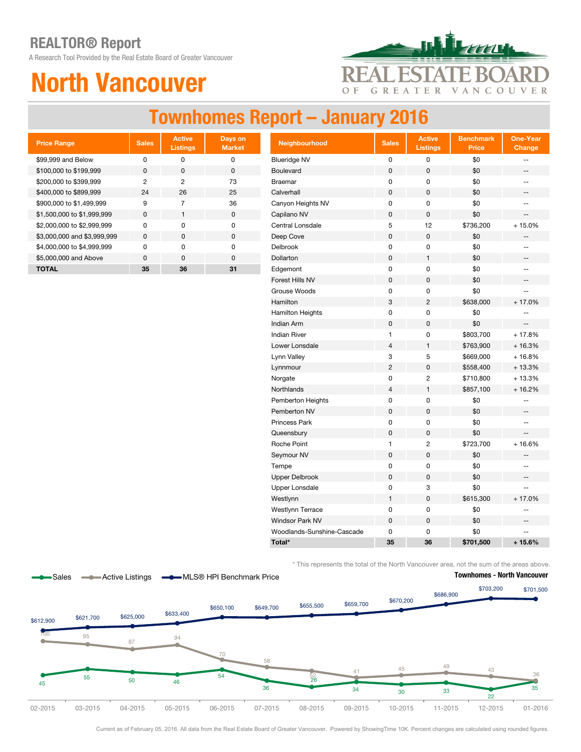A Research Tool Provided by the Real Estate Board of Greater Vancouver

# North Vancouver



## Townhomes Report – January 2016

| <b>Price Range</b>          | <b>Sales</b> | <b>Active</b><br><b>Listings</b> | Days on<br><b>Market</b> |
|-----------------------------|--------------|----------------------------------|--------------------------|
| \$99,999 and Below          | U            | O                                | 0                        |
| \$100,000 to \$199,999      | $\Omega$     | $\Omega$                         | <sup>0</sup>             |
| \$200,000 to \$399,999      | 2            | 2                                | 73                       |
| \$400,000 to \$899,999      | 24           | 26                               | 25                       |
| \$900,000 to \$1,499,999    | 9            | 7                                | 36                       |
| \$1,500,000 to \$1,999,999  | $\Omega$     | 1                                | $\Omega$                 |
| \$2,000,000 to \$2,999,999  | U            | O                                | O                        |
| \$3,000,000 and \$3,999,999 | $\Omega$     | $\Omega$                         | <sup>0</sup>             |
| \$4,000,000 to \$4,999,999  | U            | U                                | U                        |
| \$5,000,000 and Above       | U            | $\Omega$                         | U                        |
| <b>TOTAL</b>                | 35           | 36                               | 31                       |

| <b>Price Range</b>          | <b>Sales</b>   | <b>Active</b><br><b>Listings</b> | Days on<br><b>Market</b> | Neighbourhood              | <b>Sales</b>              | <b>Active</b><br><b>Listings</b> | <b>Benchmark</b><br><b>Price</b> | <b>One-Year</b><br>Change |
|-----------------------------|----------------|----------------------------------|--------------------------|----------------------------|---------------------------|----------------------------------|----------------------------------|---------------------------|
| \$99,999 and Below          | $\pmb{0}$      | $\pmb{0}$                        | $\pmb{0}$                | <b>Blueridge NV</b>        | $\pmb{0}$                 | $\mathsf 0$                      | \$0                              | $\overline{\phantom{a}}$  |
| \$100,000 to \$199,999      | $\pmb{0}$      | $\pmb{0}$                        | $\pmb{0}$                | Boulevard                  | $\pmb{0}$                 | $\mathsf 0$                      | \$0                              | --                        |
| \$200,000 to \$399,999      | $\overline{c}$ | $\overline{c}$                   | 73                       | <b>Braemar</b>             | 0                         | 0                                | \$0                              | $\overline{\phantom{a}}$  |
| \$400,000 to \$899,999      | 24             | 26                               | 25                       | Calverhall                 | $\pmb{0}$                 | $\mathbf 0$                      | \$0                              | $-\hbox{--}$              |
| \$900,000 to \$1,499,999    | 9              | $\overline{7}$                   | 36                       | Canyon Heights NV          | $\pmb{0}$                 | 0                                | \$0                              | $\overline{\phantom{a}}$  |
| \$1,500,000 to \$1,999,999  | $\pmb{0}$      | $\mathbf{1}$                     | $\pmb{0}$                | Capilano NV                | $\pmb{0}$                 | $\mathsf 0$                      | \$0                              | $\overline{\phantom{a}}$  |
| \$2,000,000 to \$2,999,999  | 0              | $\pmb{0}$                        | $\pmb{0}$                | Central Lonsdale           | 5                         | 12                               | \$736,200                        | $+15.0%$                  |
| \$3,000,000 and \$3,999,999 | $\pmb{0}$      | $\pmb{0}$                        | $\pmb{0}$                | Deep Cove                  | $\pmb{0}$                 | $\mathsf 0$                      | \$0                              |                           |
| \$4,000,000 to \$4,999,999  | $\pmb{0}$      | $\pmb{0}$                        | $\mathbf 0$              | Delbrook                   | $\pmb{0}$                 | 0                                | \$0                              | --                        |
| \$5,000,000 and Above       | $\pmb{0}$      | $\mathbf 0$                      | $\mathbf 0$              | Dollarton                  | $\mathbf 0$               | $\mathbf{1}$                     | \$0                              | $\overline{\phantom{a}}$  |
| <b>TOTAL</b>                | 35             | 36                               | 31                       | Edgemont                   | $\pmb{0}$                 | 0                                | \$0                              | $\overline{\phantom{a}}$  |
|                             |                |                                  |                          | Forest Hills NV            | $\mathsf 0$               | $\mathsf 0$                      | \$0                              | $\overline{\phantom{a}}$  |
|                             |                |                                  |                          | Grouse Woods               | $\pmb{0}$                 | 0                                | \$0                              | $\overline{\phantom{a}}$  |
|                             |                |                                  |                          | Hamilton                   | $\ensuremath{\mathsf{3}}$ | $\overline{c}$                   | \$638,000                        | $+17.0%$                  |
|                             |                |                                  |                          | <b>Hamilton Heights</b>    | $\pmb{0}$                 | 0                                | \$0                              | $-$                       |
|                             |                |                                  |                          | Indian Arm                 | $\mathbf 0$               | $\mathbf 0$                      | \$0                              | $\overline{\phantom{a}}$  |
|                             |                |                                  |                          | <b>Indian River</b>        | $\mathbf{1}$              | 0                                | \$803,700                        | $+17.8%$                  |
|                             |                |                                  |                          | Lower Lonsdale             | $\overline{4}$            | $\mathbf{1}$                     | \$763,900                        | $+16.3%$                  |
|                             |                |                                  |                          | Lynn Valley                | 3                         | 5                                | \$669,000                        | $+16.8%$                  |
|                             |                |                                  |                          | Lynnmour                   | $\overline{c}$            | 0                                | \$558,400                        | $+13.3%$                  |
|                             |                |                                  |                          | Norgate                    | $\pmb{0}$                 | $\overline{c}$                   | \$710,800                        | $+13.3%$                  |
|                             |                |                                  |                          | Northlands                 | $\overline{4}$            | 1                                | \$857,100                        | $+16.2%$                  |
|                             |                |                                  |                          | Pemberton Heights          | 0                         | 0                                | \$0                              | --                        |
|                             |                |                                  |                          | Pemberton NV               | $\pmb{0}$                 | 0                                | \$0                              | --                        |
|                             |                |                                  |                          | Princess Park              | $\mathbf 0$               | 0                                | \$0                              | $\overline{\phantom{a}}$  |
|                             |                |                                  |                          | Queensbury                 | $\pmb{0}$                 | 0                                | \$0                              | $\overline{\phantom{a}}$  |
|                             |                |                                  |                          | Roche Point                | $\mathbf{1}$              | $\overline{2}$                   | \$723,700                        | $+16.6%$                  |
|                             |                |                                  |                          | Seymour NV                 | $\pmb{0}$                 | $\mathbf 0$                      | \$0                              | --                        |
|                             |                |                                  |                          | Tempe                      | 0                         | 0                                | \$0                              | $\overline{\phantom{a}}$  |
|                             |                |                                  |                          | <b>Upper Delbrook</b>      | $\pmb{0}$                 | $\mathsf 0$                      | \$0                              | $\overline{\phantom{a}}$  |
|                             |                |                                  |                          | <b>Upper Lonsdale</b>      | $\pmb{0}$                 | 3                                | \$0                              | $\overline{\phantom{a}}$  |
|                             |                |                                  |                          | Westlynn                   | $\mathbf{1}$              | $\mathbf 0$                      | \$615,300                        | $+17.0%$                  |
|                             |                |                                  |                          | Westlynn Terrace           | $\pmb{0}$                 | $\mathsf 0$                      | \$0                              | $-$                       |
|                             |                |                                  |                          | <b>Windsor Park NV</b>     | $\mathsf 0$               | 0                                | \$0                              | $\overline{\phantom{a}}$  |
|                             |                |                                  |                          | Woodlands-Sunshine-Cascade | $\pmb{0}$                 | 0                                | \$0                              |                           |
|                             |                |                                  |                          | Total*                     | 35                        | 36                               | \$701,500                        | $+15.6%$                  |

\* This represents the total of the North Vancouver area, not the sum of the areas above.



Current as of February 05, 2016. All data from the Real Estate Board of Greater Vancouver. Powered by ShowingTime 10K. Percent changes are calculated using rounded figures.